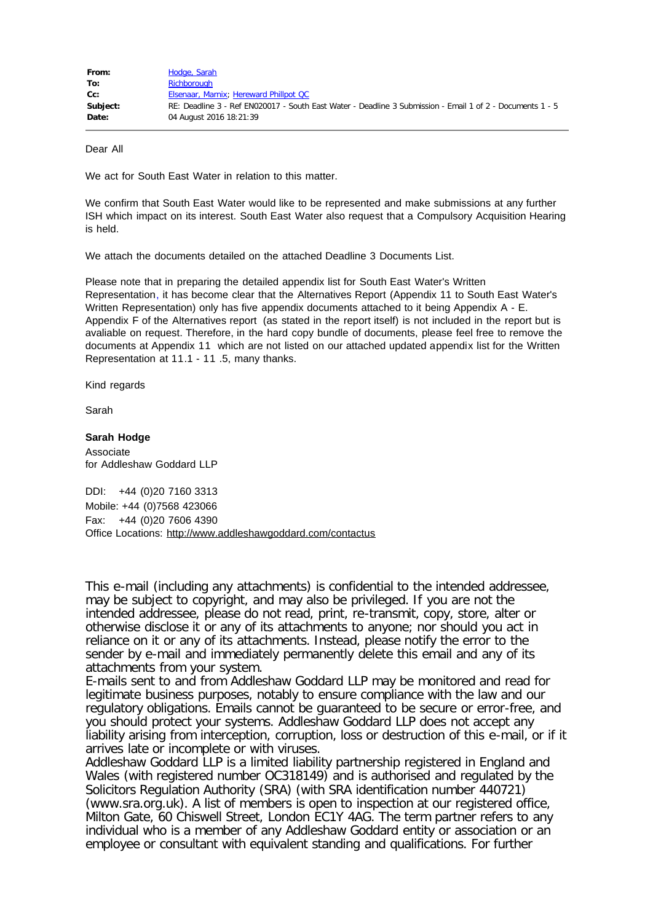| From:    | Hodge, Sarah                                                                                              |
|----------|-----------------------------------------------------------------------------------------------------------|
| To:      | Richborough                                                                                               |
| $Cc$ :   | Elsenaar, Marnix; Hereward Phillpot QC                                                                    |
| Subject: | RE: Deadline 3 - Ref EN020017 - South East Water - Deadline 3 Submission - Email 1 of 2 - Documents 1 - 5 |
| Date:    | 04 August 2016 18:21:39                                                                                   |

Dear All

We act for South East Water in relation to this matter.

We confirm that South East Water would like to be represented and make submissions at any further ISH which impact on its interest. South East Water also request that a Compulsory Acquisition Hearing is held.

We attach the documents detailed on the attached Deadline 3 Documents List.

Please note that in preparing the detailed appendix list for South East Water's Written Representation, it has become clear that the Alternatives Report (Appendix 11 to South East Water's Written Representation) only has five appendix documents attached to it being Appendix A - E. Appendix F of the Alternatives report (as stated in the report itself) is not included in the report but is avaliable on request. Therefore, in the hard copy bundle of documents, please feel free to remove the documents at Appendix 11 which are not listed on our attached updated appendix list for the Written Representation at 11.1 - 11 .5, many thanks.

Kind regards

Sarah

## **Sarah Hodge**

Associate for Addleshaw Goddard LLP

DDI: +44 (0)20 7160 3313 Mobile: +44 (0)7568 423066 Fax: +44 (0)20 7606 4390 Office Locations: <http://www.addleshawgoddard.com/contactus>

This e-mail (including any attachments) is confidential to the intended addressee, may be subject to copyright, and may also be privileged. If you are not the intended addressee, please do not read, print, re-transmit, copy, store, alter or otherwise disclose it or any of its attachments to anyone; nor should you act in reliance on it or any of its attachments. Instead, please notify the error to the sender by e-mail and immediately permanently delete this email and any of its attachments from your system.

E-mails sent to and from Addleshaw Goddard LLP may be monitored and read for legitimate business purposes, notably to ensure compliance with the law and our regulatory obligations. Emails cannot be guaranteed to be secure or error-free, and you should protect your systems. Addleshaw Goddard LLP does not accept any liability arising from interception, corruption, loss or destruction of this e-mail, or if it arrives late or incomplete or with viruses.

Addleshaw Goddard LLP is a limited liability partnership registered in England and Wales (with registered number OC318149) and is authorised and regulated by the Solicitors Regulation Authority (SRA) (with SRA identification number 440721) (www.sra.org.uk). A list of members is open to inspection at our registered office, Milton Gate, 60 Chiswell Street, London EC1Y 4AG. The term partner refers to any individual who is a member of any Addleshaw Goddard entity or association or an employee or consultant with equivalent standing and qualifications. For further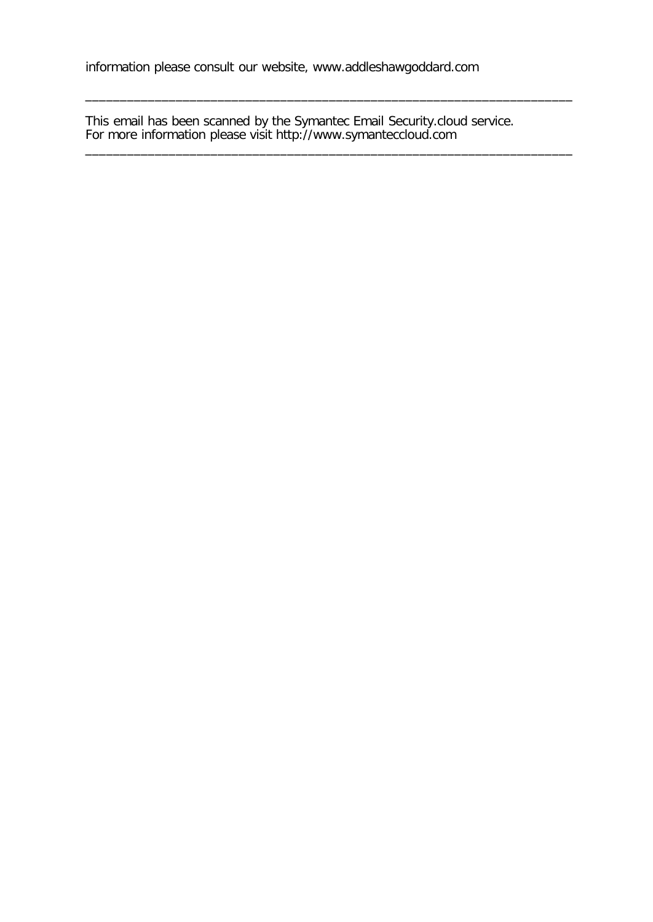This email has been scanned by the Symantec Email Security.cloud service. For more information please visit http://www.symanteccloud.com

\_\_\_\_\_\_\_\_\_\_\_\_\_\_\_\_\_\_\_\_\_\_\_\_\_\_\_\_\_\_\_\_\_\_\_\_\_\_\_\_\_\_\_\_\_\_\_\_\_\_\_\_\_\_\_\_\_\_\_\_\_\_\_\_\_\_\_\_\_\_

\_\_\_\_\_\_\_\_\_\_\_\_\_\_\_\_\_\_\_\_\_\_\_\_\_\_\_\_\_\_\_\_\_\_\_\_\_\_\_\_\_\_\_\_\_\_\_\_\_\_\_\_\_\_\_\_\_\_\_\_\_\_\_\_\_\_\_\_\_\_